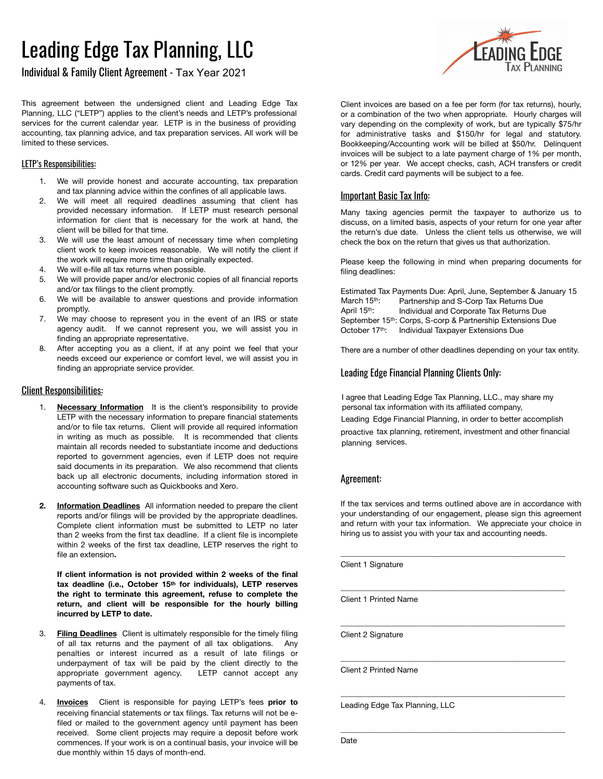# Leading Edge Tax Planning, LLC

Individual & Family Client Agreement - Tax Year 2021

**FADING FOGE** 

This agreement between the undersigned client and Leading Edge Tax Planning, LLC ("LETP") applies to the client's needs and LETP's professional services for the current calendar year. LETP is in the business of providing accounting, tax planning advice, and tax preparation services. All work will be limited to these services.

#### LETP's Responsibilities:

- 1. We will provide honest and accurate accounting, tax preparation and tax planning advice within the confines of all applicable laws.
- 2. We will meet all required deadlines assuming that client has provided necessary information. If LETP must research personal information for client that is necessary for the work at hand, the client will be billed for that time.
- 3. We will use the least amount of necessary time when completing client work to keep invoices reasonable. We will notify the client if the work will require more time than originally expected.
- 4. We will e-file all tax returns when possible.
- 5. We will provide paper and/or electronic copies of all financial reports and/or tax filings to the client promptly.
- 6. We will be available to answer questions and provide information promptly.
- 7. We may choose to represent you in the event of an IRS or state agency audit. If we cannot represent you, we will assist you in finding an appropriate representative.
- 8. After accepting you as a client, if at any point we feel that your needs exceed our experience or comfort level, we will assist you in finding an appropriate service provider.

#### Client Responsibilities:

- **Necessary Information** It is the client's responsibility to provide LETP with the necessary information to prepare financial statements and/or to file tax returns. Client will provide all required information in writing as much as possible. It is recommended that clients maintain all records needed to substantiate income and deductions reported to government agencies, even if LETP does not require said documents in its preparation. We also recommend that clients back up all electronic documents, including information stored in accounting software such as Quickbooks and Xero.
- **2. Information Deadlines** All information needed to prepare the client reports and/or filings will be provided by the appropriate deadlines. Complete client information must be submitted to LETP no later than 2 weeks from the first tax deadline. If a client file is incomplete within 2 weeks of the first tax deadline, LETP reserves the right to file an extension**.**

**If client information is not provided within 2 weeks of the final tax deadline (i.e., October 15th for individuals), LETP reserves the right to terminate this agreement, refuse to complete the return, and client will be responsible for the hourly billing incurred by LETP to date.**

- 3. **Filing Deadlines** Client is ultimately responsible for the timely filing of all tax returns and the payment of all tax obligations. Any penalties or interest incurred as a result of late filings or underpayment of tax will be paid by the client directly to the appropriate government agency. LETP cannot accept any payments of tax.
- 4. **Invoices** Client is responsible for paying LETP's fees **prior to** receiving financial statements or tax filings. Tax returns will not be efiled or mailed to the government agency until payment has been received. Some client projects may require a deposit before work commences. If your work is on a continual basis, your invoice will be due monthly within 15 days of month-end.

Client invoices are based on a fee per form (for tax returns), hourly, or a combination of the two when appropriate. Hourly charges will vary depending on the complexity of work, but are typically \$75/hr for administrative tasks and \$150/hr for legal and statutory. Bookkeeping/Accounting work will be billed at \$50/hr. Delinquent invoices will be subject to a late payment charge of 1% per month, or 12% per year. We accept checks, cash, ACH transfers or credit cards. Credit card payments will be subject to a fee.

### Important Basic Tax Info:

Many taxing agencies permit the taxpayer to authorize us to discuss, on a limited basis, aspects of your return for one year after the return's due date. Unless the client tells us otherwise, we will check the box on the return that gives us that authorization.

Please keep the following in mind when preparing documents for filing deadlines:

Estimated Tax Payments Due: April, June, September & January 15 March 15<sup>th</sup>: Partnership and S-Corp Tax Returns Due<br>April 15<sup>th</sup>: Individual and Corporate Tax Returns Due Individual and Corporate Tax Returns Due September 15th: Corps, S-corp & Partnership Extensions Due October 17<sup>th</sup>: Individual Taxpayer Extensions Due

There are a number of other deadlines depending on your tax entity.

### Leading Edge Financial Planning Clients Only:

I agree that Leading Edge Tax Planning, LLC., may share my personal tax information with its affiliated company,

Leading Edge Financial Planning, in order to better accomplish

proactive tax planning, retirement, investment and other financial planning services.

### Agreement:

If the tax services and terms outlined above are in accordance with your understanding of our engagement, please sign this agreement and return with your tax information. We appreciate your choice in hiring us to assist you with your tax and accounting needs.

\_\_\_\_\_\_\_\_\_\_\_\_\_\_\_\_\_\_\_\_\_\_\_\_\_\_\_\_\_\_\_\_\_\_\_\_\_\_\_\_\_\_\_\_\_\_\_\_\_\_\_\_\_\_\_\_\_

\_\_\_\_\_\_\_\_\_\_\_\_\_\_\_\_\_\_\_\_\_\_\_\_\_\_\_\_\_\_\_\_\_\_\_\_\_\_\_\_\_\_\_\_\_\_\_\_\_\_\_\_\_\_\_\_\_

\_\_\_\_\_\_\_\_\_\_\_\_\_\_\_\_\_\_\_\_\_\_\_\_\_\_\_\_\_\_\_\_\_\_\_\_\_\_\_\_\_\_\_\_\_\_\_\_\_\_\_\_\_\_\_\_\_

\_\_\_\_\_\_\_\_\_\_\_\_\_\_\_\_\_\_\_\_\_\_\_\_\_\_\_\_\_\_\_\_\_\_\_\_\_\_\_\_\_\_\_\_\_\_\_\_\_\_\_\_\_\_\_\_\_

\_\_\_\_\_\_\_\_\_\_\_\_\_\_\_\_\_\_\_\_\_\_\_\_\_\_\_\_\_\_\_\_\_\_\_\_\_\_\_\_\_\_\_\_\_\_\_\_\_\_\_\_\_\_\_\_\_

\_\_\_\_\_\_\_\_\_\_\_\_\_\_\_\_\_\_\_\_\_\_\_\_\_\_\_\_\_\_\_\_\_\_\_\_\_\_\_\_\_\_\_\_\_\_\_\_\_\_\_\_\_\_\_\_\_

Client 1 Signature

Client 1 Printed Name

Client 2 Signature

Client 2 Printed Name

Leading Edge Tax Planning, LLC

Date